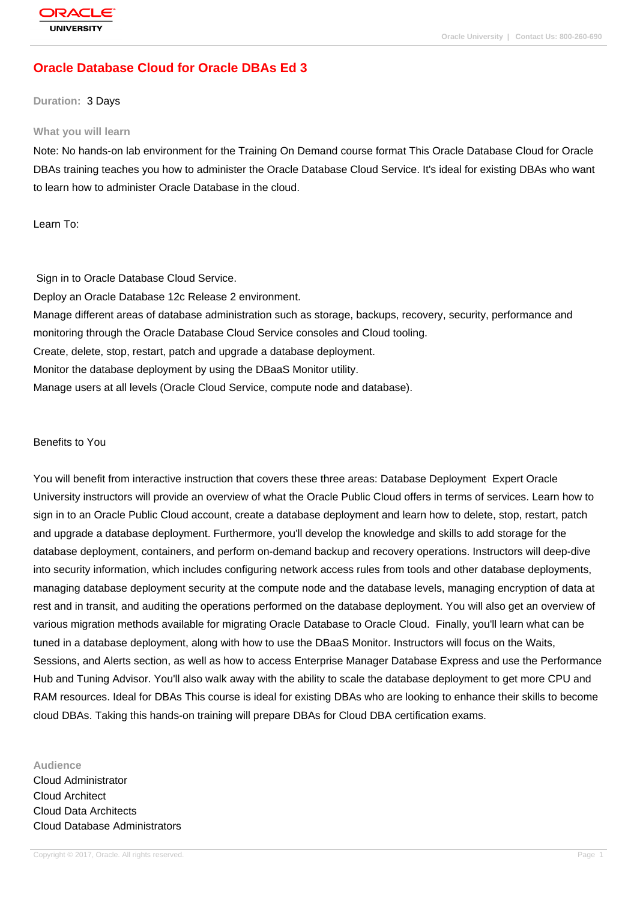# **[Oracle Databas](http://education.oracle.com/pls/web_prod-plq-dad/db_pages.getpage?page_id=3)e Cloud for Oracle DBAs Ed 3**

#### **Duration:** 3 Days

#### **What you will learn**

Note: No hands-on lab environment for the Training On Demand course format This Oracle Database Cloud for Oracle DBAs training teaches you how to administer the Oracle Database Cloud Service. It's ideal for existing DBAs who want to learn how to administer Oracle Database in the cloud.

Learn To:

 Sign in to Oracle Database Cloud Service. Deploy an Oracle Database 12c Release 2 environment. Manage different areas of database administration such as storage, backups, recovery, security, performance and monitoring through the Oracle Database Cloud Service consoles and Cloud tooling. Create, delete, stop, restart, patch and upgrade a database deployment. Monitor the database deployment by using the DBaaS Monitor utility. Manage users at all levels (Oracle Cloud Service, compute node and database).

#### Benefits to You

You will benefit from interactive instruction that covers these three areas: Database Deployment Expert Oracle University instructors will provide an overview of what the Oracle Public Cloud offers in terms of services. Learn how to sign in to an Oracle Public Cloud account, create a database deployment and learn how to delete, stop, restart, patch and upgrade a database deployment. Furthermore, you'll develop the knowledge and skills to add storage for the database deployment, containers, and perform on-demand backup and recovery operations. Instructors will deep-dive into security information, which includes configuring network access rules from tools and other database deployments, managing database deployment security at the compute node and the database levels, managing encryption of data at rest and in transit, and auditing the operations performed on the database deployment. You will also get an overview of various migration methods available for migrating Oracle Database to Oracle Cloud. Finally, you'll learn what can be tuned in a database deployment, along with how to use the DBaaS Monitor. Instructors will focus on the Waits, Sessions, and Alerts section, as well as how to access Enterprise Manager Database Express and use the Performance Hub and Tuning Advisor. You'll also walk away with the ability to scale the database deployment to get more CPU and RAM resources. Ideal for DBAs This course is ideal for existing DBAs who are looking to enhance their skills to become cloud DBAs. Taking this hands-on training will prepare DBAs for Cloud DBA certification exams.

**Audience** Cloud Administrator Cloud Architect Cloud Data Architects Cloud Database Administrators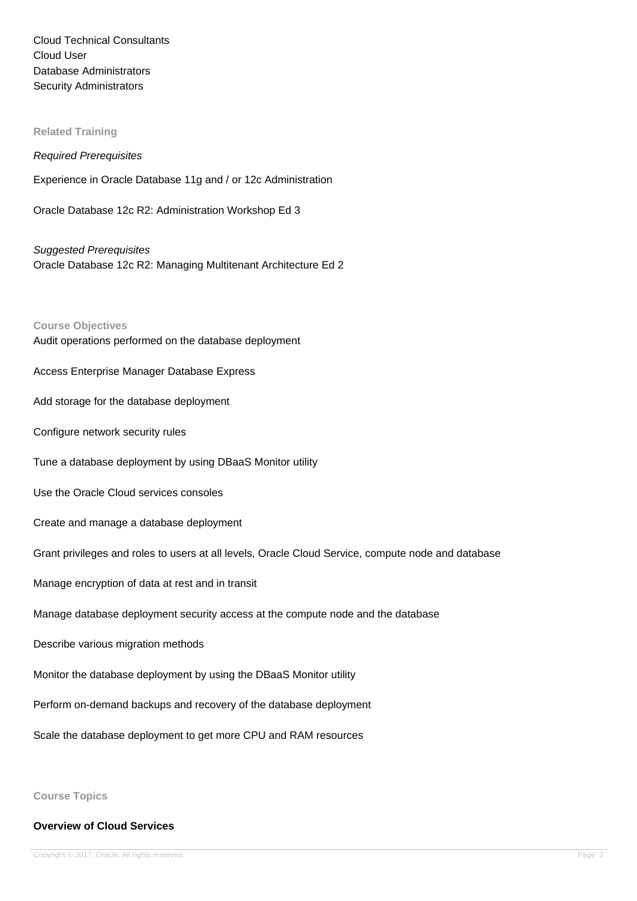Cloud Technical Consultants Cloud User Database Administrators Security Administrators

**Related Training**

#### Required Prerequisites

Experience in Oracle Database 11g and / or 12c Administration

Oracle Database 12c R2: Administration Workshop Ed 3

Suggested Prerequisites Oracle Database 12c R2: Managing Multitenant Architecture Ed 2

**Course Objectives** Audit operations performed on the database deployment

Access Enterprise Manager Database Express

Add storage for the database deployment

Configure network security rules

Tune a database deployment by using DBaaS Monitor utility

Use the Oracle Cloud services consoles

Create and manage a database deployment

Grant privileges and roles to users at all levels, Oracle Cloud Service, compute node and database

Manage encryption of data at rest and in transit

Manage database deployment security access at the compute node and the database

Describe various migration methods

Monitor the database deployment by using the DBaaS Monitor utility

Perform on-demand backups and recovery of the database deployment

Scale the database deployment to get more CPU and RAM resources

**Course Topics**

#### **Overview of Cloud Services**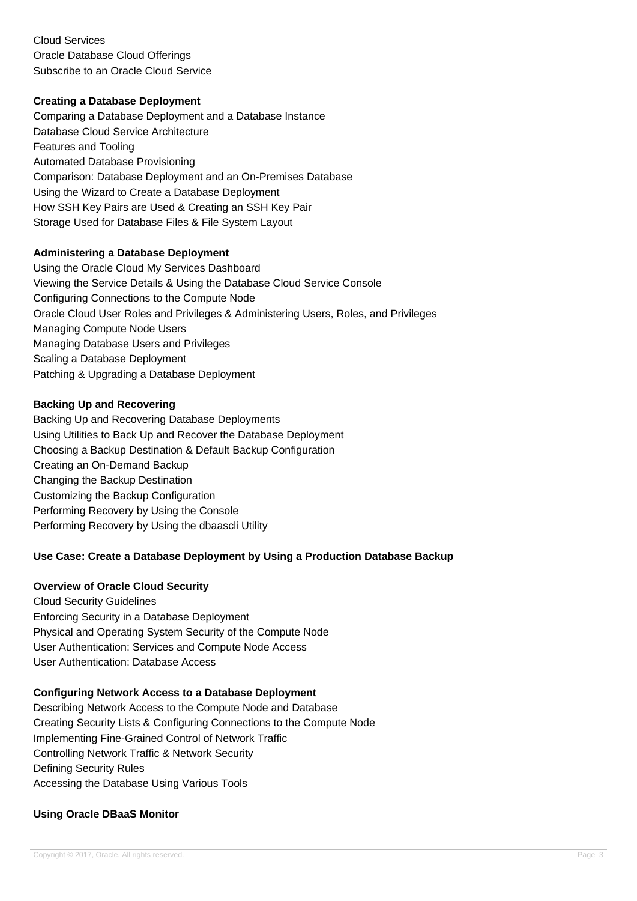Cloud Services Oracle Database Cloud Offerings Subscribe to an Oracle Cloud Service

## **Creating a Database Deployment**

Comparing a Database Deployment and a Database Instance Database Cloud Service Architecture Features and Tooling Automated Database Provisioning Comparison: Database Deployment and an On-Premises Database Using the Wizard to Create a Database Deployment How SSH Key Pairs are Used & Creating an SSH Key Pair Storage Used for Database Files & File System Layout

## **Administering a Database Deployment**

Using the Oracle Cloud My Services Dashboard Viewing the Service Details & Using the Database Cloud Service Console Configuring Connections to the Compute Node Oracle Cloud User Roles and Privileges & Administering Users, Roles, and Privileges Managing Compute Node Users Managing Database Users and Privileges Scaling a Database Deployment Patching & Upgrading a Database Deployment

## **Backing Up and Recovering**

Backing Up and Recovering Database Deployments Using Utilities to Back Up and Recover the Database Deployment Choosing a Backup Destination & Default Backup Configuration Creating an On-Demand Backup Changing the Backup Destination Customizing the Backup Configuration Performing Recovery by Using the Console Performing Recovery by Using the dbaascli Utility

## **Use Case: Create a Database Deployment by Using a Production Database Backup**

#### **Overview of Oracle Cloud Security**

Cloud Security Guidelines Enforcing Security in a Database Deployment Physical and Operating System Security of the Compute Node User Authentication: Services and Compute Node Access User Authentication: Database Access

#### **Configuring Network Access to a Database Deployment**

Describing Network Access to the Compute Node and Database Creating Security Lists & Configuring Connections to the Compute Node Implementing Fine-Grained Control of Network Traffic Controlling Network Traffic & Network Security Defining Security Rules Accessing the Database Using Various Tools

## **Using Oracle DBaaS Monitor**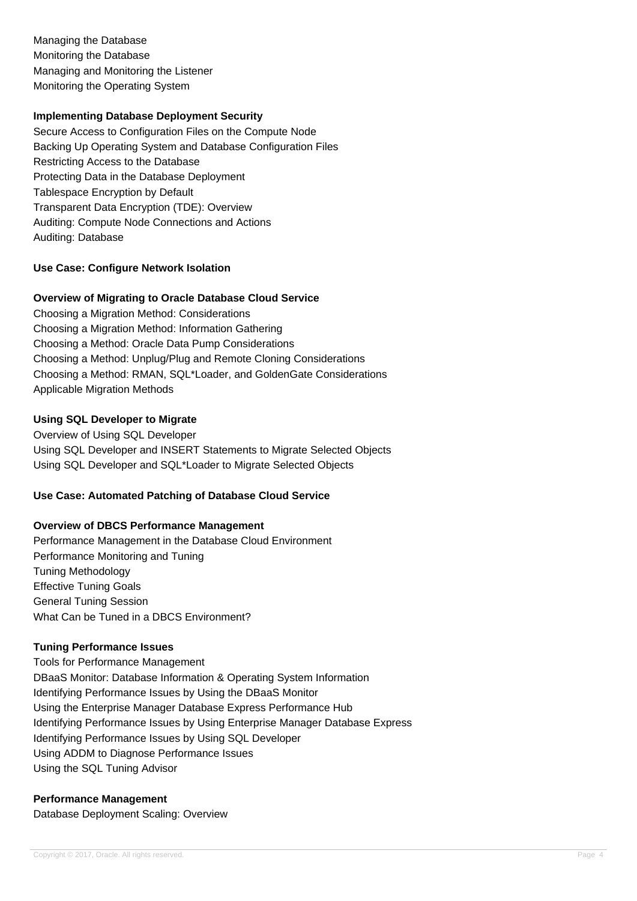Managing the Database Monitoring the Database Managing and Monitoring the Listener Monitoring the Operating System

#### **Implementing Database Deployment Security**

Secure Access to Configuration Files on the Compute Node Backing Up Operating System and Database Configuration Files Restricting Access to the Database Protecting Data in the Database Deployment Tablespace Encryption by Default Transparent Data Encryption (TDE): Overview Auditing: Compute Node Connections and Actions Auditing: Database

## **Use Case: Configure Network Isolation**

#### **Overview of Migrating to Oracle Database Cloud Service**

Choosing a Migration Method: Considerations Choosing a Migration Method: Information Gathering Choosing a Method: Oracle Data Pump Considerations Choosing a Method: Unplug/Plug and Remote Cloning Considerations Choosing a Method: RMAN, SQL\*Loader, and GoldenGate Considerations Applicable Migration Methods

## **Using SQL Developer to Migrate**

Overview of Using SQL Developer Using SQL Developer and INSERT Statements to Migrate Selected Objects Using SQL Developer and SQL\*Loader to Migrate Selected Objects

#### **Use Case: Automated Patching of Database Cloud Service**

#### **Overview of DBCS Performance Management**

Performance Management in the Database Cloud Environment Performance Monitoring and Tuning Tuning Methodology Effective Tuning Goals General Tuning Session What Can be Tuned in a DBCS Environment?

#### **Tuning Performance Issues**

Tools for Performance Management DBaaS Monitor: Database Information & Operating System Information Identifying Performance Issues by Using the DBaaS Monitor Using the Enterprise Manager Database Express Performance Hub Identifying Performance Issues by Using Enterprise Manager Database Express Identifying Performance Issues by Using SQL Developer Using ADDM to Diagnose Performance Issues Using the SQL Tuning Advisor

## **Performance Management**

Database Deployment Scaling: Overview